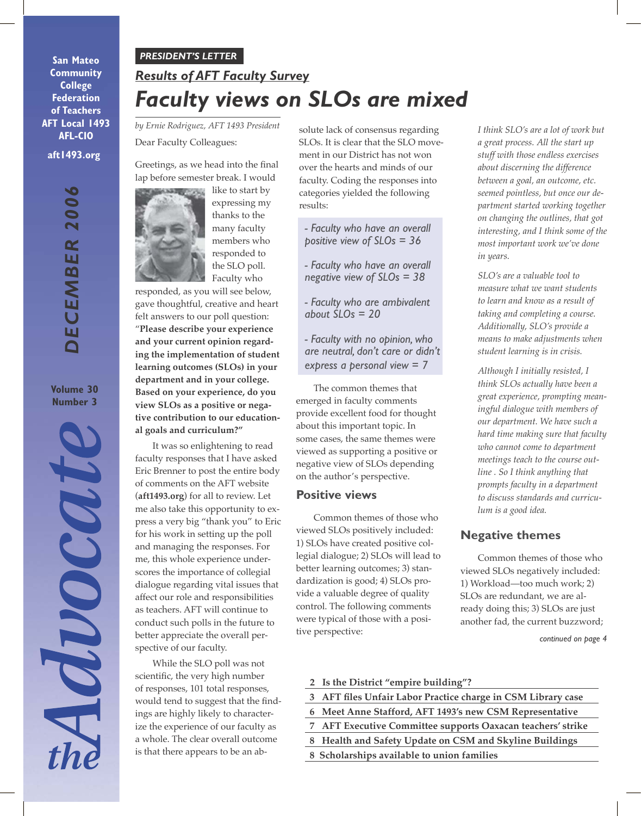## **San Mateo Community College Federation of Teachers AFT Local 1493 AFL-CIO**

**aft1493.org**

**DECEMBER 2006** *DECEMBER 2006*

**Volume 30 Number 3**

MOOCOUTE

## *PRESIDENT'S LETTER*

# *Faculty views on SLOs are mixed Results of AFT Faculty Survey*

Dear Faculty Colleagues: *by Ernie Rodriguez, AFT 1493 President*

Greetings, as we head into the final lap before semester break. I would



like to start by expressing my thanks to the many faculty members who responded to the SLO poll. Faculty who

responded, as you will see below, gave thoughtful, creative and heart felt answers to our poll question: "**Please describe your experience and your current opinion regarding the implementation of student learning outcomes (SLOs) in your department and in your college. Based on your experience, do you view SLOs as a positive or negative contribution to our educational goals and curriculum?"**

It was so enlightening to read faculty responses that I have asked Eric Brenner to post the entire body of comments on the AFT website (**aft1493.org**) for all to review. Let me also take this opportunity to express a very big "thank you" to Eric for his work in setting up the poll and managing the responses. For me, this whole experience underscores the importance of collegial dialogue regarding vital issues that affect our role and responsibilities as teachers. AFT will continue to conduct such polls in the future to better appreciate the overall perspective of our faculty.

While the SLO poll was not scientific, the very high number of responses, 101 total responses, would tend to suggest that the findings are highly likely to characterize the experience of our faculty as a whole. The clear overall outcome is that there appears to be an absolute lack of consensus regarding SLOs. It is clear that the SLO movement in our District has not won over the hearts and minds of our faculty. Coding the responses into categories yielded the following results:

*- Faculty who have an overall positive view of SLOs = 36*

*- Faculty who have an overall negative view of SLOs = 38*

*- Faculty who are ambivalent about SLOs = 20*

*- Faculty with no opinion, who are neutral, don't care or didn't express a personal view = 7*

The common themes that emerged in faculty comments provide excellent food for thought about this important topic. In some cases, the same themes were viewed as supporting a positive or negative view of SLOs depending on the author's perspective.

## **Positive views**

Common themes of those who viewed SLOs positively included: 1) SLOs have created positive collegial dialogue; 2) SLOs will lead to better learning outcomes; 3) standardization is good; 4) SLOs provide a valuable degree of quality control. The following comments were typical of those with a positive perspective:

*I think SLO's are a lot of work but a great process. All the start up stuff with those endless exercises about discerning the difference between a goal, an outcome, etc. seemed pointless, but once our department started working together on changing the outlines, that got interesting, and I think some of the most important work we've done in years.*

*SLO's are a valuable tool to measure what we want students to learn and know as a result of taking and completing a course. Additionally, SLO's provide a means to make adjustments when student learning is in crisis.*

*Although I initially resisted, I think SLOs actually have been a great experience, prompting meaningful dialogue with members of our department. We have such a hard time making sure that faculty who cannot come to department meetings teach to the course outline . So I think anything that prompts faculty in a department to discuss standards and curriculum is a good idea.*

## **Negative themes**

Common themes of those who viewed SLOs negatively included: 1) Workload—too much work; 2) SLOs are redundant, we are already doing this; 3) SLOs are just another fad, the current buzzword;

*continued on page 4*

## **INSIDE THIS ISSUE**

- **2 Is the District "empire building"?**
- **3 AFT files Unfair Labor Practice charge in CSM Library case**
- **6 Meet Anne Stafford, AFT 1493's new CSM Representative**
- **7 AFT Executive Committee supports Oaxacan teachers' strike**
- **8 Health and Safety Update on CSM and Skyline Buildings**
- **8 Scholarships available to union families**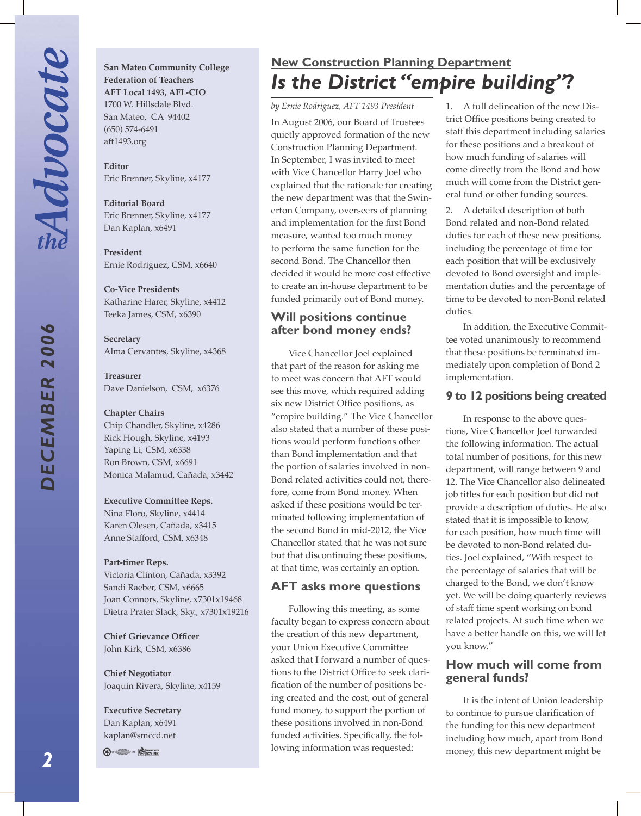DECEMBER 2006

**San Mateo Community College Federation of Teachers AFT Local 1493, AFL-CIO** 1700 W. Hillsdale Blvd. San Mateo, CA 94402 (650) 574-6491 aft1493.org

**Editor**  Eric Brenner, Skyline, x4177

**Editorial Board** Eric Brenner, Skyline, x4177 Dan Kaplan, x6491

**President**  Ernie Rodriguez, CSM, x6640

**Co-Vice Presidents** Katharine Harer, Skyline, x4412 Teeka James, CSM, x6390

**Secretary** Alma Cervantes, Skyline, x4368

**Treasurer** Dave Danielson, CSM, x6376

**Chapter Chairs** Chip Chandler, Skyline, x4286 Rick Hough, Skyline, x4193 Yaping Li, CSM, x6338 Ron Brown, CSM, x6691 Monica Malamud, Cañada, x3442

#### **Executive Committee Reps.**

Nina Floro, Skyline, x4414 Karen Olesen, Cañada, x3415 Anne Stafford, CSM, x6348

#### **Part-timer Reps.**

Victoria Clinton, Cañada, x3392 Sandi Raeber, CSM, x6665 Joan Connors, Skyline, x7301x19468 Dietra Prater Slack, Sky., x7301x19216

**Chief Grievance Officer** John Kirk, CSM, x6386

**Chief Negotiator** Joaquin Rivera, Skyline, x4159

**Executive Secretary** Dan Kaplan, x6491 kaplan@smccd.net

**B** SOVINK

## *Is the District "empire building"?* **New Construction Planning Department**

In August 2006, our Board of Trustees quietly approved formation of the new Construction Planning Department. In September, I was invited to meet with Vice Chancellor Harry Joel who explained that the rationale for creating the new department was that the Swinerton Company, overseers of planning and implementation for the first Bond measure, wanted too much money to perform the same function for the second Bond. The Chancellor then decided it would be more cost effective to create an in-house department to be funded primarily out of Bond money. *by Ernie Rodriguez, AFT 1493 President*

### **Will positions continue after bond money ends?**

Vice Chancellor Joel explained that part of the reason for asking me to meet was concern that AFT would see this move, which required adding six new District Office positions, as "empire building." The Vice Chancellor also stated that a number of these positions would perform functions other than Bond implementation and that the portion of salaries involved in non-Bond related activities could not, therefore, come from Bond money. When asked if these positions would be terminated following implementation of the second Bond in mid-2012, the Vice Chancellor stated that he was not sure but that discontinuing these positions, at that time, was certainly an option.

### **AFT asks more questions**

Following this meeting, as some faculty began to express concern about the creation of this new department, your Union Executive Committee asked that I forward a number of questions to the District Office to seek clarification of the number of positions being created and the cost, out of general fund money, to support the portion of these positions involved in non-Bond funded activities. Specifically, the following information was requested:

1. A full delineation of the new District Office positions being created to staff this department including salaries for these positions and a breakout of how much funding of salaries will come directly from the Bond and how much will come from the District general fund or other funding sources.

2. A detailed description of both Bond related and non-Bond related duties for each of these new positions, including the percentage of time for each position that will be exclusively devoted to Bond oversight and implementation duties and the percentage of time to be devoted to non-Bond related duties.

In addition, the Executive Committee voted unanimously to recommend that these positions be terminated immediately upon completion of Bond 2 implementation.

#### **9 to 12 positions being created**

In response to the above questions, Vice Chancellor Joel forwarded the following information. The actual total number of positions, for this new department, will range between 9 and 12. The Vice Chancellor also delineated job titles for each position but did not provide a description of duties. He also stated that it is impossible to know, for each position, how much time will be devoted to non-Bond related duties. Joel explained, "With respect to the percentage of salaries that will be charged to the Bond, we don't know yet. We will be doing quarterly reviews of staff time spent working on bond related projects. At such time when we have a better handle on this, we will let you know."

### **How much will come from general funds?**

It is the intent of Union leadership to continue to pursue clarification of the funding for this new department including how much, apart from Bond money, this new department might be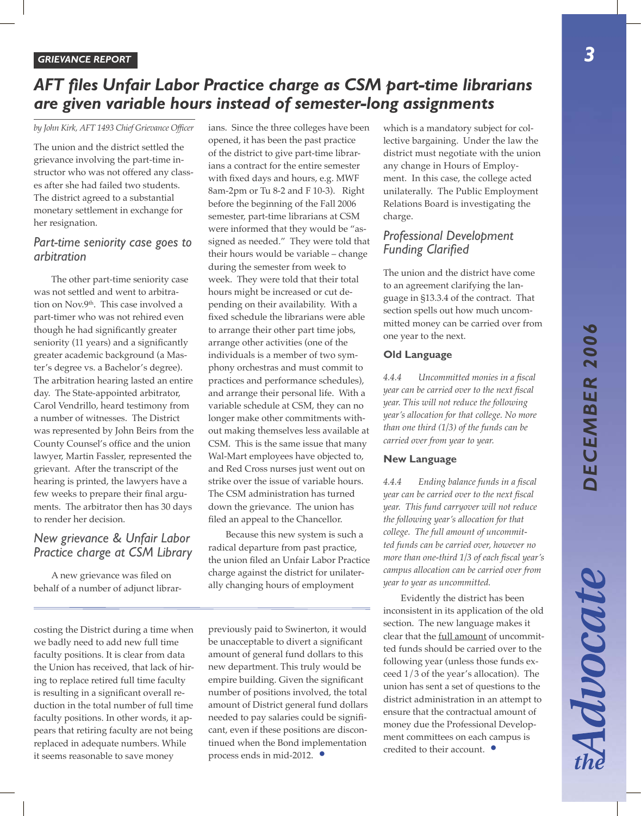Advocate

## *AFT files Unfair Labor Practice charge as CSM part-time librarians are given variable hours instead of semester-long assignments*

*by John Kirk, AFT 1493 Chief Grievance Officer*

The union and the district settled the grievance involving the part-time instructor who was not offered any classes after she had failed two students. The district agreed to a substantial monetary settlement in exchange for her resignation.

## *Part-time seniority case goes to arbitration*

The other part-time seniority case was not settled and went to arbitration on Nov.9<sup>th</sup>. This case involved a part-timer who was not rehired even though he had significantly greater seniority (11 years) and a significantly greater academic background (a Master's degree vs. a Bachelor's degree). The arbitration hearing lasted an entire day. The State-appointed arbitrator, Carol Vendrillo, heard testimony from a number of witnesses. The District was represented by John Beirs from the County Counsel's office and the union lawyer, Martin Fassler, represented the grievant. After the transcript of the hearing is printed, the lawyers have a few weeks to prepare their final arguments. The arbitrator then has 30 days to render her decision.

## *New grievance & Unfair Labor Practice charge at CSM Library*

A new grievance was filed on behalf of a number of adjunct librar-

costing the District during a time when we badly need to add new full time faculty positions. It is clear from data the Union has received, that lack of hiring to replace retired full time faculty is resulting in a significant overall reduction in the total number of full time faculty positions. In other words, it appears that retiring faculty are not being replaced in adequate numbers. While it seems reasonable to save money

ians. Since the three colleges have been opened, it has been the past practice of the district to give part-time librarians a contract for the entire semester with fixed days and hours, e.g. MWF 8am-2pm or Tu 8-2 and F 10-3). Right before the beginning of the Fall 2006 semester, part-time librarians at CSM were informed that they would be "assigned as needed." They were told that their hours would be variable – change during the semester from week to week. They were told that their total hours might be increased or cut depending on their availability. With a fixed schedule the librarians were able to arrange their other part time jobs, arrange other activities (one of the individuals is a member of two symphony orchestras and must commit to practices and performance schedules), and arrange their personal life. With a variable schedule at CSM, they can no longer make other commitments without making themselves less available at CSM. This is the same issue that many Wal-Mart employees have objected to, and Red Cross nurses just went out on strike over the issue of variable hours. The CSM administration has turned down the grievance. The union has filed an appeal to the Chancellor.

Because this new system is such a radical departure from past practice, the union filed an Unfair Labor Practice charge against the district for unilaterally changing hours of employment

previously paid to Swinerton, it would be unacceptable to divert a significant amount of general fund dollars to this new department. This truly would be empire building. Given the significant number of positions involved, the total amount of District general fund dollars needed to pay salaries could be significant, even if these positions are discontinued when the Bond implementation process ends in mid-2012. •

which is a mandatory subject for collective bargaining. Under the law the district must negotiate with the union any change in Hours of Employment. In this case, the college acted unilaterally. The Public Employment Relations Board is investigating the charge.

## *Professional Development Funding Clarified*

The union and the district have come to an agreement clarifying the language in §13.3.4 of the contract. That section spells out how much uncommitted money can be carried over from one year to the next.

#### **Old Language**

*4.4.4 Uncommitted monies in a fiscal year can be carried over to the next fiscal year. This will not reduce the following year's allocation for that college. No more than one third (1/3) of the funds can be carried over from year to year.*

#### **New Language**

*4.4.4 Ending balance funds in a fiscal year can be carried over to the next fiscal year. This fund carryover will not reduce the following year's allocation for that college. The full amount of uncommitted funds can be carried over, however no more than one-third 1/3 of each fiscal year's campus allocation can be carried over from year to year as uncommitted.*

Evidently the district has been inconsistent in its application of the old section. The new language makes it clear that the full amount of uncommitted funds should be carried over to the following year (unless those funds exceed 1/3 of the year's allocation). The union has sent a set of questions to the district administration in an attempt to ensure that the contractual amount of money due the Professional Development committees on each campus is credited to their account.•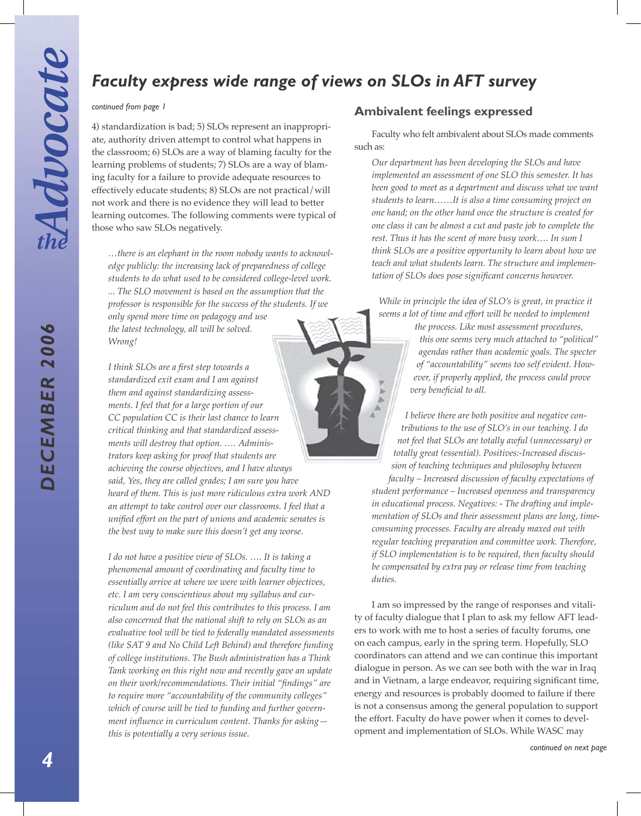DECEMBER 2006

## *Faculty express wide range of views on SLOs in AFT survey*

#### *continued from page 1*

*Wrong!*

4) standardization is bad; 5) SLOs represent an inappropriate, authority driven attempt to control what happens in the classroom; 6) SLOs are a way of blaming faculty for the learning problems of students; 7) SLOs are a way of blaming faculty for a failure to provide adequate resources to effectively educate students; 8) SLOs are not practical/will not work and there is no evidence they will lead to better learning outcomes. The following comments were typical of those who saw SLOs negatively.

*…there is an elephant in the room nobody wants to acknowledge publicly: the increasing lack of preparedness of college students to do what used to be considered college-level work. ... The SLO movement is based on the assumption that the professor is responsible for the success of the students. If we only spend more time on pedagogy and use the latest technology, all will be solved.* 

*I think SLOs are a first step towards a standardized exit exam and I am against them and against standardizing assessments. I feel that for a large portion of our CC population CC is their last chance to learn critical thinking and that standardized assessments will destroy that option. …. Administrators keep asking for proof that students are achieving the course objectives, and I have always said, Yes, they are called grades; I am sure you have heard of them. This is just more ridiculous extra work AND an attempt to take control over our classrooms. I feel that a unified effort on the part of unions and academic senates is the best way to make sure this doesn't get any worse.*

*I do not have a positive view of SLOs. …. It is taking a phenomenal amount of coordinating and faculty time to essentially arrive at where we were with learner objectives, etc. I am very conscientious about my syllabus and curriculum and do not feel this contributes to this process. I am also concerned that the national shift to rely on SLOs as an evaluative tool will be tied to federally mandated assessments (like SAT 9 and No Child Left Behind) and therefore funding of college institutions. The Bush administration has a Think Tank working on this right now and recently gave an update on their work/recommendations. Their initial "findings" are to require more "accountability of the community colleges" which of course will be tied to funding and further government influence in curriculum content. Thanks for asking this is potentially a very serious issue.*

## **Ambivalent feelings expressed**

Faculty who felt ambivalent about SLOs made comments such as:

*Our department has been developing the SLOs and have implemented an assessment of one SLO this semester. It has*  been good to meet as a department and discuss what we want *students to learn……It is also a time consuming project on one hand; on the other hand once the structure is created for one class it can be almost a cut and paste job to complete the rest. Thus it has the scent of more busy work…. In sum I think SLOs are a positive opportunity to learn about how we teach and what students learn. The structure and implementation of SLOs does pose significant concerns however.*

*While in principle the idea of SLO's is great, in practice it seems a lot of time and effort will be needed to implement* 

> *the process. Like most assessment procedures, this one seems very much attached to "political" agendas rather than academic goals. The specter of "accountability" seems too self evident. However, if properly applied, the process could prove very beneficial to all.*

*I believe there are both positive and negative contributions to the use of SLO's in our teaching. I do not feel that SLOs are totally awful (unnecessary) or totally great (essential). Positives:-Increased discussion of teaching techniques and philosophy between* 

*faculty – Increased discussion of faculty expectations of student performance – Increased openness and transparency in educational process. Negatives: - The drafting and implementation of SLOs and their assessment plans are long, timeconsuming processes. Faculty are already maxed out with regular teaching preparation and committee work. Therefore, if SLO implementation is to be required, then faculty should be compensated by extra pay or release time from teaching duties.*

I am so impressed by the range of responses and vitality of faculty dialogue that I plan to ask my fellow AFT leaders to work with me to host a series of faculty forums, one on each campus, early in the spring term. Hopefully, SLO coordinators can attend and we can continue this important dialogue in person. As we can see both with the war in Iraq and in Vietnam, a large endeavor, requiring significant time, energy and resources is probably doomed to failure if there is not a consensus among the general population to support the effort. Faculty do have power when it comes to development and implementation of SLOs. While WASC may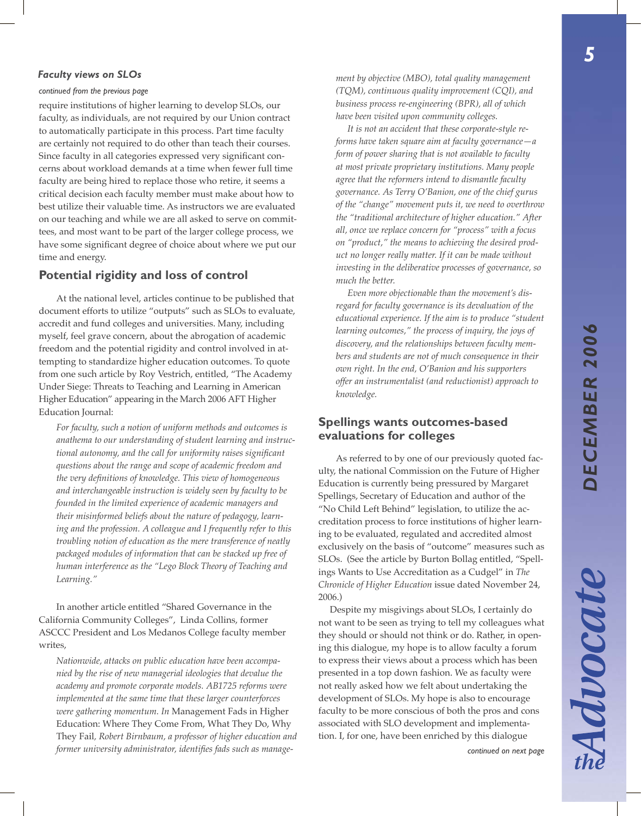Advocate

#### *Faculty views on SLOs*

#### *continued from the previous page*

require institutions of higher learning to develop SLOs, our faculty, as individuals, are not required by our Union contract to automatically participate in this process. Part time faculty are certainly not required to do other than teach their courses. Since faculty in all categories expressed very significant concerns about workload demands at a time when fewer full time faculty are being hired to replace those who retire, it seems a critical decision each faculty member must make about how to best utilize their valuable time. As instructors we are evaluated on our teaching and while we are all asked to serve on committees, and most want to be part of the larger college process, we have some significant degree of choice about where we put our time and energy.

#### **Potential rigidity and loss of control**

At the national level, articles continue to be published that document efforts to utilize "outputs" such as SLOs to evaluate, accredit and fund colleges and universities. Many, including myself, feel grave concern, about the abrogation of academic freedom and the potential rigidity and control involved in attempting to standardize higher education outcomes. To quote from one such article by Roy Vestrich, entitled, "The Academy Under Siege: Threats to Teaching and Learning in American Higher Education" appearing in the March 2006 AFT Higher Education Journal:

*For faculty, such a notion of uniform methods and outcomes is anathema to our understanding of student learning and instructional autonomy, and the call for uniformity raises significant questions about the range and scope of academic freedom and the very definitions of knowledge. This view of homogeneous and interchangeable instruction is widely seen by faculty to be founded in the limited experience of academic managers and their misinformed beliefs about the nature of pedagogy, learning and the profession. A colleague and I frequently refer to this troubling notion of education as the mere transference of neatly packaged modules of information that can be stacked up free of human interference as the "Lego Block Theory of Teaching and Learning."*

In another article entitled "Shared Governance in the California Community Colleges", Linda Collins, former ASCCC President and Los Medanos College faculty member writes,

*Nationwide, attacks on public education have been accompanied by the rise of new managerial ideologies that devalue the academy and promote corporate models. AB1725 reforms were implemented at the same time that these larger counterforces were gathering momentum. In* Management Fads in Higher Education: Where They Come From, What They Do, Why They Fail*, Robert Birnbaum, a professor of higher education and former university administrator, identifies fads such as manage-* *ment by objective (MBO), total quality management (TQM), continuous quality improvement (CQI), and business process re-engineering (BPR), all of which have been visited upon community colleges.*

 *It is not an accident that these corporate-style reforms have taken square aim at faculty governance—a form of power sharing that is not available to faculty at most private proprietary institutions. Many people agree that the reformers intend to dismantle faculty governance. As Terry O'Banion, one of the chief gurus of the "change" movement puts it, we need to overthrow the "traditional architecture of higher education." After all, once we replace concern for "process" with a focus on "product," the means to achieving the desired product no longer really matter. If it can be made without investing in the deliberative processes of governance, so much the better.*

 *Even more objectionable than the movement's disregard for faculty governance is its devaluation of the educational experience. If the aim is to produce "student learning outcomes," the process of inquiry, the joys of discovery, and the relationships between faculty members and students are not of much consequence in their own right. In the end, O'Banion and his supporters offer an instrumentalist (and reductionist) approach to knowledge.*

### **Spellings wants outcomes-based evaluations for colleges**

As referred to by one of our previously quoted faculty, the national Commission on the Future of Higher Education is currently being pressured by Margaret Spellings, Secretary of Education and author of the "No Child Left Behind" legislation, to utilize the accreditation process to force institutions of higher learning to be evaluated, regulated and accredited almost exclusively on the basis of "outcome" measures such as SLOs. (See the article by Burton Bollag entitled, "Spellings Wants to Use Accreditation as a Cudgel" in *The Chronicle of Higher Education* issue dated November 24, 2006.)

 Despite my misgivings about SLOs, I certainly do not want to be seen as trying to tell my colleagues what they should or should not think or do. Rather, in opening this dialogue, my hope is to allow faculty a forum to express their views about a process which has been presented in a top down fashion. We as faculty were not really asked how we felt about undertaking the development of SLOs. My hope is also to encourage faculty to be more conscious of both the pros and cons associated with SLO development and implementation. I, for one, have been enriched by this dialogue

*continued on next page*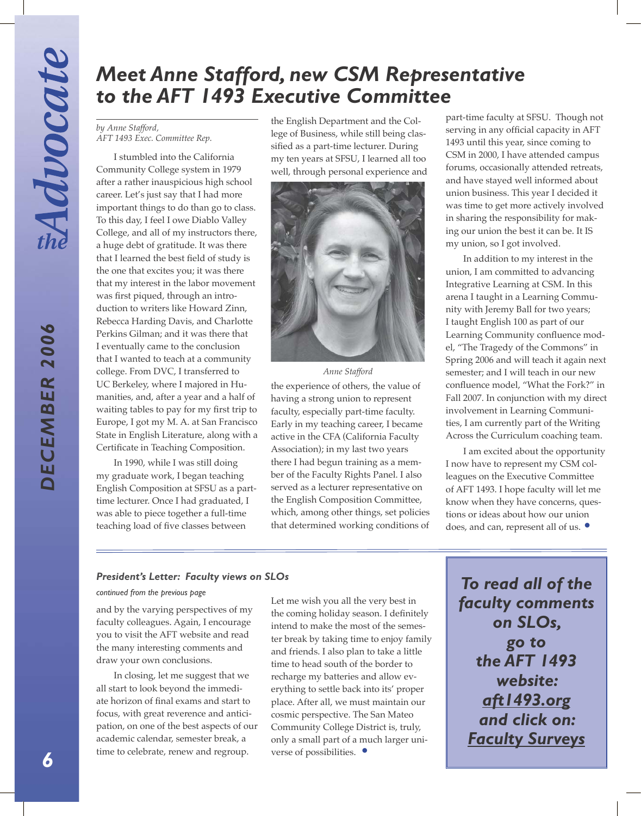DECEMBER 2006

## *Meet Anne Stafford, new CSM Representative to the AFT 1493 Executive Committee*

#### *by Anne Stafford, AFT 1493 Exec. Committee Rep.*

I stumbled into the California Community College system in 1979 after a rather inauspicious high school career. Let's just say that I had more important things to do than go to class. To this day, I feel I owe Diablo Valley College, and all of my instructors there, a huge debt of gratitude. It was there that I learned the best field of study is the one that excites you; it was there that my interest in the labor movement was first piqued, through an introduction to writers like Howard Zinn, Rebecca Harding Davis, and Charlotte Perkins Gilman; and it was there that I eventually came to the conclusion that I wanted to teach at a community college. From DVC, I transferred to UC Berkeley, where I majored in Humanities, and, after a year and a half of waiting tables to pay for my first trip to Europe, I got my M. A. at San Francisco State in English Literature, along with a Certificate in Teaching Composition.

In 1990, while I was still doing my graduate work, I began teaching English Composition at SFSU as a parttime lecturer. Once I had graduated, I was able to piece together a full-time teaching load of five classes between

the English Department and the College of Business, while still being classified as a part-time lecturer. During my ten years at SFSU, I learned all too well, through personal experience and



the experience of others, the value of having a strong union to represent faculty, especially part-time faculty. Early in my teaching career, I became active in the CFA (California Faculty Association); in my last two years there I had begun training as a member of the Faculty Rights Panel. I also served as a lecturer representative on the English Composition Committee, which, among other things, set policies that determined working conditions of *Anne Stafford*

part-time faculty at SFSU. Though not serving in any official capacity in AFT 1493 until this year, since coming to CSM in 2000, I have attended campus forums, occasionally attended retreats, and have stayed well informed about union business. This year I decided it was time to get more actively involved in sharing the responsibility for making our union the best it can be. It IS my union, so I got involved.

In addition to my interest in the union, I am committed to advancing Integrative Learning at CSM. In this arena I taught in a Learning Community with Jeremy Ball for two years; I taught English 100 as part of our Learning Community confluence model, "The Tragedy of the Commons" in Spring 2006 and will teach it again next semester; and I will teach in our new confluence model, "What the Fork?" in Fall 2007. In conjunction with my direct involvement in Learning Communities, I am currently part of the Writing Across the Curriculum coaching team.

I am excited about the opportunity I now have to represent my CSM colleagues on the Executive Committee of AFT 1493. I hope faculty will let me know when they have concerns, questions or ideas about how our union does, and can, represent all of us.  $\bullet$ 

## *President's Letter: Faculty views on SLOs*

#### *continued from the previous page*

and by the varying perspectives of my faculty colleagues. Again, I encourage you to visit the AFT website and read the many interesting comments and draw your own conclusions.

In closing, let me suggest that we all start to look beyond the immediate horizon of final exams and start to focus, with great reverence and anticipation, on one of the best aspects of our academic calendar, semester break, a time to celebrate, renew and regroup.

Let me wish you all the very best in the coming holiday season. I definitely intend to make the most of the semester break by taking time to enjoy family and friends. I also plan to take a little time to head south of the border to recharge my batteries and allow everything to settle back into its' proper place. After all, we must maintain our cosmic perspective. The San Mateo Community College District is, truly, only a small part of a much larger universe of possibilities.  $\bullet$ 

*To read all of the faculty comments on SLOs, go to the AFT 1493 website: aft1493.org and click on: Faculty Surveys*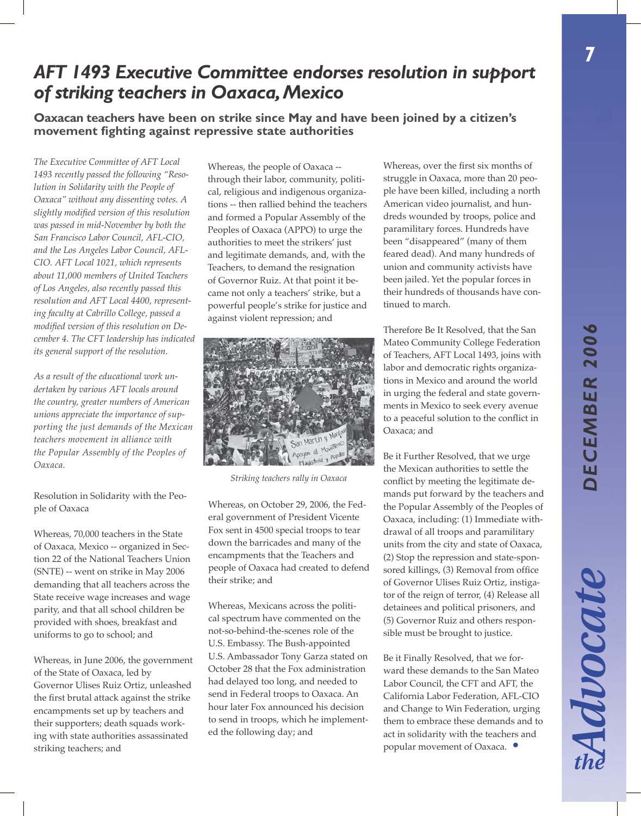Advocat

## *AFT 1493 Executive Committee endorses resolution in support of striking teachers in Oaxaca, Mexico*

## **Oaxacan teachers have been on strike since May and have been joined by a citizen's movement fighting against repressive state authorities**

*The Executive Committee of AFT Local 1493 recently passed the following "Resolution in Solidarity with the People of Oaxaca" without any dissenting votes. A slightly modified version of this resolution was passed in mid-November by both the San Francisco Labor Council, AFL-CIO, and the Los Angeles Labor Council, AFL-CIO. AFT Local 1021, which represents about 11,000 members of United Teachers of Los Angeles, also recently passed this resolution and AFT Local 4400, representing faculty at Cabrillo College, passed a modified version of this resolution on December 4. The CFT leadership has indicated its general support of the resolution.*

*As a result of the educational work undertaken by various AFT locals around the country, greater numbers of American unions appreciate the importance of supporting the just demands of the Mexican teachers movement in alliance with the Popular Assembly of the Peoples of Oaxaca.*

Resolution in Solidarity with the People of Oaxaca

Whereas, 70,000 teachers in the State of Oaxaca, Mexico -- organized in Section 22 of the National Teachers Union (SNTE) -- went on strike in May 2006 demanding that all teachers across the State receive wage increases and wage parity, and that all school children be provided with shoes, breakfast and uniforms to go to school; and

Whereas, in June 2006, the government of the State of Oaxaca, led by Governor Ulises Ruiz Ortiz, unleashed the first brutal attack against the strike encampments set up by teachers and their supporters; death squads working with state authorities assassinated striking teachers; and

Whereas, the people of Oaxaca - through their labor, community, political, religious and indigenous organizations -- then rallied behind the teachers and formed a Popular Assembly of the Peoples of Oaxaca (APPO) to urge the authorities to meet the strikers' just and legitimate demands, and, with the Teachers, to demand the resignation of Governor Ruiz. At that point it became not only a teachers' strike, but a powerful people's strike for justice and against violent repression; and



*Striking teachers rally in Oaxaca*

Whereas, on October 29, 2006, the Federal government of President Vicente Fox sent in 4500 special troops to tear down the barricades and many of the encampments that the Teachers and people of Oaxaca had created to defend their strike; and

Whereas, Mexicans across the political spectrum have commented on the not-so-behind-the-scenes role of the U.S. Embassy. The Bush-appointed U.S. Ambassador Tony Garza stated on October 28 that the Fox administration had delayed too long, and needed to send in Federal troops to Oaxaca. An hour later Fox announced his decision to send in troops, which he implemented the following day; and

Whereas, over the first six months of struggle in Oaxaca, more than 20 people have been killed, including a north American video journalist, and hundreds wounded by troops, police and paramilitary forces. Hundreds have been "disappeared" (many of them feared dead). And many hundreds of union and community activists have been jailed. Yet the popular forces in their hundreds of thousands have continued to march.

Therefore Be It Resolved, that the San Mateo Community College Federation of Teachers, AFT Local 1493, joins with labor and democratic rights organizations in Mexico and around the world in urging the federal and state governments in Mexico to seek every avenue to a peaceful solution to the conflict in Oaxaca; and

Be it Further Resolved, that we urge the Mexican authorities to settle the conflict by meeting the legitimate demands put forward by the teachers and the Popular Assembly of the Peoples of Oaxaca, including: (1) Immediate withdrawal of all troops and paramilitary units from the city and state of Oaxaca, (2) Stop the repression and state-sponsored killings, (3) Removal from office of Governor Ulises Ruiz Ortiz, instigator of the reign of terror, (4) Release all detainees and political prisoners, and (5) Governor Ruiz and others responsible must be brought to justice.

Be it Finally Resolved, that we forward these demands to the San Mateo Labor Council, the CFT and AFT, the California Labor Federation, AFL-CIO and Change to Win Federation, urging them to embrace these demands and to act in solidarity with the teachers and popular movement of Oaxaca. •